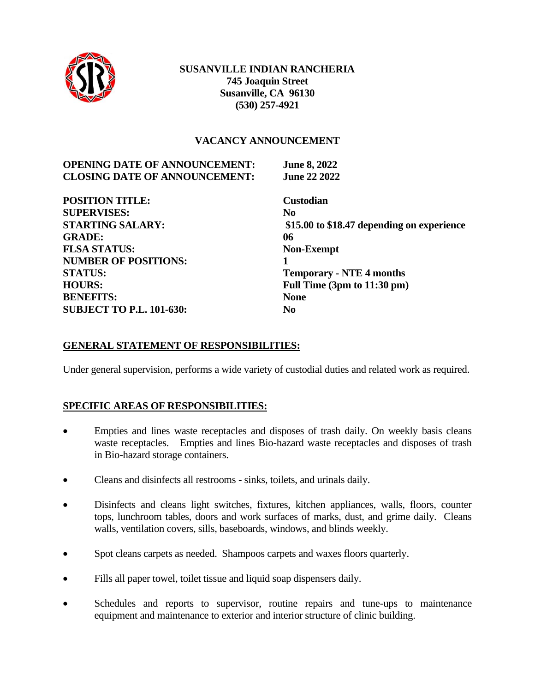

#### **VACANCY ANNOUNCEMENT**

| <b>OPENING DATE OF ANNOUNCEMENT:</b> | <b>June 8, 2022</b>                        |
|--------------------------------------|--------------------------------------------|
| <b>CLOSING DATE OF ANNOUNCEMENT:</b> | <b>June 22 2022</b>                        |
| <b>POSITION TITLE:</b>               | <b>Custodian</b>                           |
| <b>SUPERVISES:</b>                   | N <sub>0</sub>                             |
| <b>STARTING SALARY:</b>              | \$15.00 to \$18.47 depending on experience |
| <b>GRADE:</b>                        | 06                                         |
| <b>FLSA STATUS:</b>                  | <b>Non-Exempt</b>                          |
| <b>NUMBER OF POSITIONS:</b>          |                                            |
| <b>STATUS:</b>                       | <b>Temporary - NTE 4 months</b>            |
| <b>HOURS:</b>                        | Full Time (3pm to 11:30 pm)                |
| <b>BENEFITS:</b>                     | <b>None</b>                                |
| <b>SUBJECT TO P.L. 101-630:</b>      | No                                         |

### **GENERAL STATEMENT OF RESPONSIBILITIES:**

Under general supervision, performs a wide variety of custodial duties and related work as required.

#### **SPECIFIC AREAS OF RESPONSIBILITIES:**

- Empties and lines waste receptacles and disposes of trash daily. On weekly basis cleans waste receptacles. Empties and lines Bio-hazard waste receptacles and disposes of trash in Bio-hazard storage containers.
- Cleans and disinfects all restrooms sinks, toilets, and urinals daily.
- Disinfects and cleans light switches, fixtures, kitchen appliances, walls, floors, counter tops, lunchroom tables, doors and work surfaces of marks, dust, and grime daily. Cleans walls, ventilation covers, sills, baseboards, windows, and blinds weekly.
- Spot cleans carpets as needed. Shampoos carpets and waxes floors quarterly.
- Fills all paper towel, toilet tissue and liquid soap dispensers daily.
- Schedules and reports to supervisor, routine repairs and tune-ups to maintenance equipment and maintenance to exterior and interior structure of clinic building.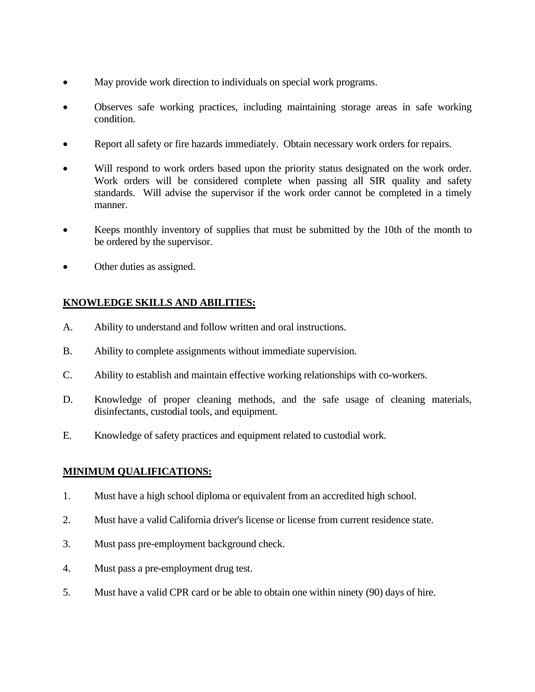- May provide work direction to individuals on special work programs.
- Observes safe working practices, including maintaining storage areas in safe working condition.
- Report all safety or fire hazards immediately. Obtain necessary work orders for repairs.
- Will respond to work orders based upon the priority status designated on the work order. Work orders will be considered complete when passing all SIR quality and safety standards. Will advise the supervisor if the work order cannot be completed in a timely manner.
- Keeps monthly inventory of supplies that must be submitted by the 10th of the month to be ordered by the supervisor.
- Other duties as assigned.

## **KNOWLEDGE SKILLS AND ABILITIES:**

- A. Ability to understand and follow written and oral instructions.
- B. Ability to complete assignments without immediate supervision.
- C. Ability to establish and maintain effective working relationships with co-workers.
- D. Knowledge of proper cleaning methods, and the safe usage of cleaning materials, disinfectants, custodial tools, and equipment.
- E. Knowledge of safety practices and equipment related to custodial work.

### **MINIMUM QUALIFICATIONS:**

- 1. Must have a high school diploma or equivalent from an accredited high school.
- 2. Must have a valid California driver's license or license from current residence state.
- 3. Must pass pre-employment background check.
- 4. Must pass a pre-employment drug test.
- 5. Must have a valid CPR card or be able to obtain one within ninety (90) days of hire.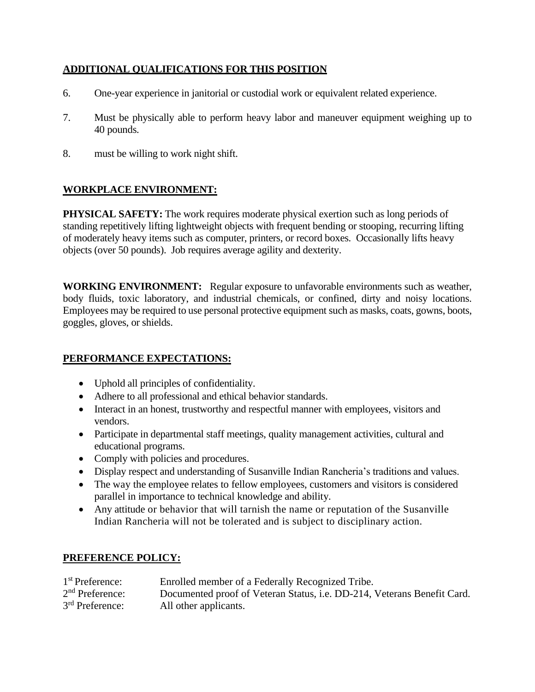### **ADDITIONAL QUALIFICATIONS FOR THIS POSITION**

- 6. One-year experience in janitorial or custodial work or equivalent related experience.
- 7. Must be physically able to perform heavy labor and maneuver equipment weighing up to 40 pounds.
- 8. must be willing to work night shift.

## **WORKPLACE ENVIRONMENT:**

**PHYSICAL SAFETY:** The work requires moderate physical exertion such as long periods of standing repetitively lifting lightweight objects with frequent bending or stooping, recurring lifting of moderately heavy items such as computer, printers, or record boxes. Occasionally lifts heavy objects (over 50 pounds). Job requires average agility and dexterity.

**WORKING ENVIRONMENT:** Regular exposure to unfavorable environments such as weather, body fluids, toxic laboratory, and industrial chemicals, or confined, dirty and noisy locations. Employees may be required to use personal protective equipment such as masks, coats, gowns, boots, goggles, gloves, or shields.

### **PERFORMANCE EXPECTATIONS:**

- Uphold all principles of confidentiality.
- Adhere to all professional and ethical behavior standards.
- Interact in an honest, trustworthy and respectful manner with employees, visitors and vendors.
- Participate in departmental staff meetings, quality management activities, cultural and educational programs.
- Comply with policies and procedures.
- Display respect and understanding of Susanville Indian Rancheria's traditions and values.
- The way the employee relates to fellow employees, customers and visitors is considered parallel in importance to technical knowledge and ability.
- Any attitude or behavior that will tarnish the name or reputation of the Susanville Indian Rancheria will not be tolerated and is subject to disciplinary action.

### **PREFERENCE POLICY:**

| 1 <sup>st</sup> Preference: | Enrolled member of a Federally Recognized Tribe.                        |
|-----------------------------|-------------------------------------------------------------------------|
| $2nd$ Preference:           | Documented proof of Veteran Status, i.e. DD-214, Veterans Benefit Card. |
| $3rd$ Preference:           | All other applicants.                                                   |